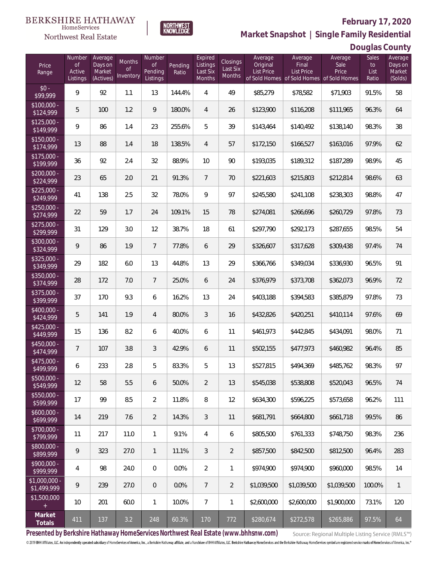#### **BERKSHIRE HATHAWAY NORTHWEST**<br>KNOWLEDGE HomeServices



### **February 17, 2020 Market Snapshot | Single Family Residential**

### **Douglas County**

| Price<br>Range               | Number<br><b>of</b><br>Active<br>Listings | Average<br>Days on<br>Market<br>(Actives) | Months<br><b>of</b><br>Inventory | Number<br><b>of</b><br>Pending<br>Listings | Pending<br>Ratio | Expired<br>Listings<br>Last Six<br>Months | <b>Closings</b><br>Last Six<br>Months | Average<br>Original<br><b>List Price</b> | Average<br>Final<br>List Price<br>of Sold Homes of Sold Homes of Sold Homes | Average<br>Sale<br>Price | Sales<br>to<br>List<br>Ratio | Average<br>Days on<br>Market<br>(Solds) |
|------------------------------|-------------------------------------------|-------------------------------------------|----------------------------------|--------------------------------------------|------------------|-------------------------------------------|---------------------------------------|------------------------------------------|-----------------------------------------------------------------------------|--------------------------|------------------------------|-----------------------------------------|
| $$0 -$<br>\$99,999           | 9                                         | 92                                        | 1.1                              | 13                                         | 144.4%           | $\overline{4}$                            | 49                                    | \$85,279                                 | \$78,582                                                                    | \$71,903                 | 91.5%                        | 58                                      |
| $$100,000 -$<br>\$124,999    | 5                                         | 100                                       | 1.2                              | 9                                          | 180.0%           | $\overline{4}$                            | 26                                    | \$123,900                                | \$116,208                                                                   | \$111,965                | 96.3%                        | 64                                      |
| $$125,000 -$<br>\$149,999    | 9                                         | 86                                        | 1.4                              | 23                                         | 255.6%           | 5                                         | 39                                    | \$143,464                                | \$140,492                                                                   | \$138,140                | 98.3%                        | 38                                      |
| $$150,000 -$<br>\$174,999    | 13                                        | 88                                        | 1.4                              | 18                                         | 138.5%           | $\overline{4}$                            | 57                                    | \$172,150                                | \$166,527                                                                   | \$163,016                | 97.9%                        | 62                                      |
| $$175,000 -$<br>\$199,999    | 36                                        | 92                                        | 2.4                              | 32                                         | 88.9%            | 10                                        | 90                                    | \$193,035                                | \$189,312                                                                   | \$187,289                | 98.9%                        | 45                                      |
| $$200,000 -$<br>\$224,999    | 23                                        | 65                                        | 2.0                              | 21                                         | 91.3%            | $\overline{7}$                            | 70                                    | \$221,603                                | \$215,803                                                                   | \$212,814                | 98.6%                        | 63                                      |
| $$225,000 -$<br>\$249,999    | 41                                        | 138                                       | 2.5                              | 32                                         | 78.0%            | 9                                         | 97                                    | \$245,580                                | \$241,108                                                                   | \$238,303                | 98.8%                        | 47                                      |
| $$250,000 -$<br>\$274,999    | 22                                        | 59                                        | 1.7                              | 24                                         | 109.1%           | 15                                        | 78                                    | \$274,081                                | \$266,696                                                                   | \$260,729                | 97.8%                        | 73                                      |
| $$275,000 -$<br>\$299,999    | 31                                        | 129                                       | 3.0                              | 12                                         | 38.7%            | 18                                        | 61                                    | \$297,790                                | \$292,173                                                                   | \$287,655                | 98.5%                        | 54                                      |
| $$300,000 -$<br>\$324,999    | 9                                         | 86                                        | 1.9                              | $7\overline{ }$                            | 77.8%            | 6                                         | 29                                    | \$326,607                                | \$317,628                                                                   | \$309,438                | 97.4%                        | 74                                      |
| $$325,000 -$<br>\$349,999    | 29                                        | 182                                       | 6.0                              | 13                                         | 44.8%            | 13                                        | 29                                    | \$366,766                                | \$349,034                                                                   | \$336,930                | 96.5%                        | 91                                      |
| $$350,000 -$<br>\$374,999    | 28                                        | 172                                       | 7.0                              | $7\phantom{.0}$                            | 25.0%            | 6                                         | 24                                    | \$376,979                                | \$373,708                                                                   | \$362,073                | 96.9%                        | 72                                      |
| $$375,000 -$<br>\$399,999    | 37                                        | 170                                       | 9.3                              | 6                                          | 16.2%            | 13                                        | 24                                    | \$403,188                                | \$394,583                                                                   | \$385,879                | 97.8%                        | 73                                      |
| $$400,000 -$<br>\$424,999    | 5                                         | 141                                       | 1.9                              | $\overline{4}$                             | 80.0%            | $\mathfrak{Z}$                            | 16                                    | \$432,826                                | \$420,251                                                                   | \$410,114                | 97.6%                        | 69                                      |
| $$425,000 -$<br>\$449,999    | 15                                        | 136                                       | 8.2                              | 6                                          | 40.0%            | 6                                         | 11                                    | \$461,973                                | \$442,845                                                                   | \$434,091                | 98.0%                        | 71                                      |
| $$450,000 -$<br>\$474,999    | $\overline{7}$                            | 107                                       | 3.8                              | $\mathfrak{Z}$                             | 42.9%            | 6                                         | 11                                    | \$502,155                                | \$477,973                                                                   | \$460,982                | 96.4%                        | 85                                      |
| $$475,000 -$<br>\$499,999    | 6                                         | 233                                       | 2.8                              | 5                                          | 83.3%            | 5                                         | 13                                    | \$527,815                                | \$494,369                                                                   | \$485,762                | 98.3%                        | 97                                      |
| \$500,000 -<br>\$549,999     | 12                                        | 58                                        | 5.5                              | 6                                          | 50.0%            | $\overline{2}$                            | 13                                    | \$545,038                                | \$538,808                                                                   | \$520,043                | 96.5%                        | 74                                      |
| $$550,000 -$<br>\$599,999    | 17                                        | 99                                        | 8.5                              | $\overline{2}$                             | 11.8%            | 8                                         | 12                                    | \$634,300                                | \$596,225                                                                   | \$573,658                | 96.2%                        | 111                                     |
| $$600,000 -$<br>\$699,999    | 14                                        | 219                                       | 7.6                              | $\overline{2}$                             | 14.3%            | $\mathfrak{Z}$                            | 11                                    | \$681,791                                | \$664,800                                                                   | \$661,718                | 99.5%                        | 86                                      |
| $$700,000 -$<br>\$799,999    | 11                                        | 217                                       | 11.0                             | $\mathbf{1}$                               | 9.1%             | $\overline{4}$                            | 6                                     | \$805,500                                | \$761,333                                                                   | \$748,750                | 98.3%                        | 236                                     |
| $$800,000 -$<br>\$899,999    | 9                                         | 323                                       | 27.0                             | $\mathbf{1}$                               | 11.1%            | $\mathfrak{Z}$                            | $\overline{2}$                        | \$857,500                                | \$842,500                                                                   | \$812,500                | 96.4%                        | 283                                     |
| $$900,000 -$<br>\$999,999    | 4                                         | 98                                        | 24.0                             | $\mathbf 0$                                | 0.0%             | $\overline{2}$                            | $\mathbf{1}$                          | \$974,900                                | \$974,900                                                                   | \$960,000                | 98.5%                        | 14                                      |
| \$1,000,000 -<br>\$1,499,999 | 9                                         | 239                                       | 27.0                             | $\overline{0}$                             | 0.0%             | $7\phantom{.}$                            | $\overline{2}$                        | \$1,039,500                              | \$1,039,500                                                                 | \$1,039,500              | 100.0%                       | $\mathbf{1}$                            |
| \$1,500,000<br>$+$           | 10                                        | 201                                       | 60.0                             | $\mathbf{1}$                               | 10.0%            | $7\overline{ }$                           | $\mathbf{1}$                          | \$2,600,000                              | \$2,600,000                                                                 | \$1,900,000              | 73.1%                        | 120                                     |
| Market<br>Totals             | 411                                       | 137                                       | 3.2                              | 248                                        | 60.3%            | 170                                       | 772                                   | \$280,674                                | \$272,578                                                                   | \$265,886                | 97.5%                        | 64                                      |

**Presented by Berkshire Hathaway HomeServices Northwest Real Estate (www.bhhsnw.com)**

Source: Regional Multiple Listing Service (RMLS™)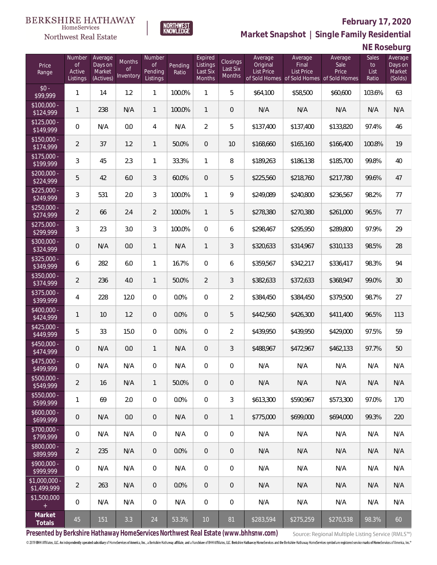

### **February 17, 2020**

**Market Snapshot | Single Family Residential**

**NE Roseburg**

| Price<br>Range                            | Number<br><b>of</b><br>Active<br>Listings | Average<br>Days on<br>Market<br>(Actives) | Months<br>Οf<br>Inventory | Number<br><b>of</b><br>Pending<br>Listings | Pending<br>Ratio | Expired<br>Listings<br>Last Six<br>Months | <b>Closings</b><br>Last Six<br>Months | Average<br>Original<br>List Price | Average<br>Final<br>List Price<br>of Sold Homes of Sold Homes of Sold Homes | Average<br>Sale<br>Price | Sales<br>to<br>List<br>Ratio | Average<br>Days on<br>Market<br>(Solds) |
|-------------------------------------------|-------------------------------------------|-------------------------------------------|---------------------------|--------------------------------------------|------------------|-------------------------------------------|---------------------------------------|-----------------------------------|-----------------------------------------------------------------------------|--------------------------|------------------------------|-----------------------------------------|
| $$0 -$<br>$\sqrt{$99.999}$                | $\mathbf{1}$                              | 14                                        | 1.2                       | $\mathbf{1}$                               | 100.0%           | 1                                         | 5                                     | \$64,100                          | \$58,500                                                                    | \$60,600                 | 103.6%                       | 63                                      |
| $$100,000 -$<br>\$124,999                 | 1                                         | 238                                       | N/A                       | $\mathbf{1}$                               | 100.0%           | $\mathbf{1}$                              | $\overline{0}$                        | N/A                               | N/A                                                                         | N/A                      | N/A                          | N/A                                     |
| $$125,000 -$<br>\$149,999                 | $\overline{0}$                            | N/A                                       | 0.0                       | $\overline{4}$                             | N/A              | $\overline{2}$                            | 5                                     | \$137,400                         | \$137,400                                                                   | \$133,820                | 97.4%                        | 46                                      |
| $$150,000 -$<br>\$174,999                 | $\overline{2}$                            | 37                                        | 1.2                       | $\mathbf{1}$                               | 50.0%            | $\overline{0}$                            | 10                                    | \$168,660                         | \$165,160                                                                   | \$166,400                | 100.8%                       | 19                                      |
| $$175,000 -$<br>\$199,999                 | 3                                         | 45                                        | 2.3                       | $\mathbf{1}$                               | 33.3%            | $\mathbf{1}$                              | 8                                     | \$189,263                         | \$186,138                                                                   | \$185,700                | 99.8%                        | 40                                      |
| $$200,000 -$<br>\$224,999                 | 5                                         | 42                                        | 6.0                       | 3                                          | 60.0%            | $\mathbf{0}$                              | 5                                     | \$225,560                         | \$218,760                                                                   | \$217,780                | 99.6%                        | 47                                      |
| $$225,000 -$<br>\$249,999                 | 3                                         | 531                                       | 2.0                       | 3                                          | 100.0%           | $\mathbf{1}$                              | 9                                     | \$249,089                         | \$240,800                                                                   | \$236,567                | 98.2%                        | 77                                      |
| $$250,000 -$<br>\$274,999                 | $\overline{2}$                            | 66                                        | 2.4                       | $\overline{2}$                             | 100.0%           | $\mathbf{1}$                              | 5                                     | \$278,380                         | \$270,380                                                                   | \$261,000                | 96.5%                        | 77                                      |
| $$275,000 -$<br>\$299,999                 | 3                                         | 23                                        | 3.0                       | 3                                          | 100.0%           | $\overline{0}$                            | 6                                     | \$298,467                         | \$295,950                                                                   | \$289,800                | 97.9%                        | 29                                      |
| \$300,000 -<br>\$324,999                  | $\overline{0}$                            | N/A                                       | 0.0                       | $\mathbf{1}$                               | N/A              | $\mathbf{1}$                              | 3                                     | \$320,633                         | \$314,967                                                                   | \$310,133                | 98.5%                        | 28                                      |
| \$325,000 -<br>\$349,999                  | 6                                         | 282                                       | 6.0                       | $\mathbf{1}$                               | 16.7%            | $\overline{0}$                            | 6                                     | \$359,567                         | \$342,217                                                                   | \$336,417                | 98.3%                        | 94                                      |
| $$350,000 -$<br>\$374,999                 | $\overline{2}$                            | 236                                       | 4.0                       | $\mathbf{1}$                               | 50.0%            | 2                                         | 3                                     | \$382,633                         | \$372,633                                                                   | \$368,947                | 99.0%                        | 30                                      |
| $$375,000 -$<br>\$399,999                 | 4                                         | 228                                       | 12.0                      | $\overline{0}$                             | 0.0%             | $\overline{0}$                            | $\overline{2}$                        | \$384,450                         | \$384,450                                                                   | \$379,500                | 98.7%                        | 27                                      |
| \$400,000 -<br>\$424,999                  | 1                                         | 10                                        | 1.2                       | $\overline{0}$                             | 0.0%             | $\overline{0}$                            | 5                                     | \$442,560                         | \$426,300                                                                   | \$411,400                | 96.5%                        | 113                                     |
| $$425,000 -$<br>\$449,999                 | 5                                         | 33                                        | 15.0                      | $\overline{0}$                             | 0.0%             | $\overline{0}$                            | $\overline{2}$                        | \$439,950                         | \$439,950                                                                   | \$429,000                | 97.5%                        | 59                                      |
| $$450,000 -$<br>\$474,999                 | $\overline{0}$                            | N/A                                       | 0.0                       | $\mathbf{1}$                               | N/A              | $\overline{0}$                            | 3                                     | \$488,967                         | \$472,967                                                                   | \$462,133                | 97.7%                        | 50                                      |
| $$475,000 -$<br>\$499,999                 | $\boldsymbol{0}$                          | N/A                                       | N/A                       | 0                                          | N/A              | $\overline{0}$                            | 0                                     | N/A                               | N/A                                                                         | N/A                      | N/A                          | N/A                                     |
| $$500,000 -$<br>\$549,999                 | $\overline{2}$                            | 16                                        | N/A                       | $\mathbf{1}$                               | 50.0%            | $\theta$                                  | 0                                     | N/A                               | N/A                                                                         | N/A                      | N/A                          | N/A                                     |
| $$550,000 -$<br>\$599,999                 | 1                                         | 69                                        | 2.0                       | $\overline{0}$                             | 0.0%             | $\overline{0}$                            | 3                                     | \$613,300                         | \$590,967                                                                   | \$573,300                | 97.0%                        | 170                                     |
| $$600,000 -$<br>\$699,999                 | $\mathbf 0$                               | N/A                                       | 0.0                       | $\overline{0}$                             | N/A              | $\theta$                                  | $\mathbf{1}$                          | \$775,000                         | \$699,000                                                                   | \$694,000                | 99.3%                        | 220                                     |
| \$700,000 -<br>\$799,999                  | 0                                         | N/A                                       | N/A                       | $\overline{0}$                             | N/A              | $\mathbf 0$                               | $\mathbf 0$                           | N/A                               | N/A                                                                         | N/A                      | N/A                          | N/A                                     |
| \$800,000 -<br>\$899,999                  | $\overline{2}$                            | 235                                       | N/A                       | $\overline{0}$                             | 0.0%             | $\overline{0}$                            | $\mathbf 0$                           | N/A                               | N/A                                                                         | N/A                      | N/A                          | N/A                                     |
| \$900,000 -<br>\$999,999                  | $\boldsymbol{0}$                          | N/A                                       | N/A                       | $\mathbf 0$                                | N/A              | $\mathbf 0$                               | $\mathbf 0$                           | N/A                               | N/A                                                                         | N/A                      | N/A                          | N/A                                     |
| $$1,000,000 -$<br>$\overline{$1,499,999}$ | $\overline{2}$                            | 263                                       | N/A                       | $\overline{0}$                             | 0.0%             | $\overline{0}$                            | $\mathbf 0$                           | N/A                               | N/A                                                                         | N/A                      | N/A                          | N/A                                     |
| \$1,500,000<br>$+$                        | 0                                         | N/A                                       | N/A                       | $\mathbf 0$                                | N/A              | $\mathbf 0$                               | $\mathbf 0$                           | N/A                               | N/A                                                                         | N/A                      | N/A                          | N/A                                     |
| Market<br>Totals                          | 45                                        | 151                                       | 3.3                       | 24                                         | 53.3%            | $10$                                      | 81                                    | \$283,594                         | \$275,259                                                                   | \$270,538                | 98.3%                        | 60                                      |

**NORTHWEST**<br>KNOWLEDGE

**Presented by Berkshire Hathaway HomeServices Northwest Real Estate (www.bhhsnw.com)**

Source: Regional Multiple Listing Service (RMLS™)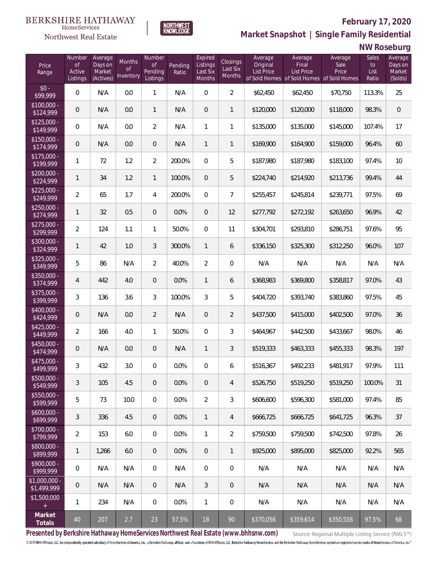**NORTHWEST**<br>KNOWLEDGE



### **February 17, 2020**

**Market Snapshot | Single Family Residential**

### **NW Roseburg**

| Price<br>Range                   | Number<br><b>of</b><br>Active<br>Listings | Average<br>Days on<br>Market<br>(Actives) | <b>Months</b><br>Οf<br>Inventory | Number<br><b>of</b><br>Pending<br>Listings | Pending<br>Ratio | Expired<br>Listings<br>Last Six<br>Months | Closings<br>Last Six<br>Months | Average<br>Original<br><b>List Price</b> | Average<br>Final<br><b>List Price</b><br>of Sold Homes of Sold Homes of Sold Homes | Average<br>Sale<br>Price | Sales<br>to<br>List<br>Ratio | Average<br>Days on<br>Market<br>(Solds) |
|----------------------------------|-------------------------------------------|-------------------------------------------|----------------------------------|--------------------------------------------|------------------|-------------------------------------------|--------------------------------|------------------------------------------|------------------------------------------------------------------------------------|--------------------------|------------------------------|-----------------------------------------|
| $$0 -$<br>\$99,999               | 0                                         | N/A                                       | 0.0                              | 1                                          | N/A              | $\overline{0}$                            | $\overline{2}$                 | \$62,450                                 | \$62,450                                                                           | \$70,750                 | 113.3%                       | 25                                      |
| $$100,000 -$<br>\$124,999        | 0                                         | N/A                                       | 0.0                              | $\mathbf{1}$                               | N/A              | $\overline{0}$                            | $\mathbf{1}$                   | \$120,000                                | \$120,000                                                                          | \$118,000                | 98.3%                        | $\mathbf 0$                             |
| $$125,000 -$<br>\$149,999        | 0                                         | N/A                                       | 0.0                              | $\overline{2}$                             | N/A              | $\mathbf{1}$                              | 1                              | \$135,000                                | \$135,000                                                                          | \$145,000                | 107.4%                       | 17                                      |
| $$150,000 -$<br>\$174,999        | 0                                         | N/A                                       | 0.0                              | $\overline{0}$                             | N/A              | $\mathbf{1}$                              | $\mathbf{1}$                   | \$169,900                                | \$164,900                                                                          | \$159,000                | 96.4%                        | 60                                      |
| $$175,000 -$<br>\$199,999        | 1                                         | 72                                        | 1.2                              | $\overline{2}$                             | 200.0%           | $\overline{0}$                            | 5                              | \$187,980                                | \$187,980                                                                          | \$183,100                | 97.4%                        | 10                                      |
| $$200,000 -$<br>\$224,999        | $\mathbf{1}$                              | 34                                        | 1.2                              | 1                                          | 100.0%           | $\overline{0}$                            | 5                              | \$224,740                                | \$214,920                                                                          | \$213,736                | 99.4%                        | 44                                      |
| $$225,000 -$<br>\$249,999        | $\overline{2}$                            | 65                                        | 1.7                              | 4                                          | 200.0%           | $\overline{0}$                            | $\overline{7}$                 | \$255,457                                | \$245,814                                                                          | \$239,771                | 97.5%                        | 69                                      |
| $$250,000 -$<br>\$274,999        | $\mathbf{1}$                              | 32                                        | 0.5                              | $\overline{0}$                             | 0.0%             | $\overline{0}$                            | 12                             | \$277,792                                | \$272,192                                                                          | \$263,650                | 96.9%                        | 42                                      |
| $$275,000 -$<br>\$299,999        | $\overline{2}$                            | 124                                       | 1.1                              | 1                                          | 50.0%            | $\overline{0}$                            | 11                             | \$304,701                                | \$293,810                                                                          | \$286,751                | 97.6%                        | 95                                      |
| $$300,000 -$<br>\$324,999        | $\mathbf{1}$                              | 42                                        | 1.0                              | 3                                          | 300.0%           | $\mathbf{1}$                              | 6                              | \$336,150                                | \$325,300                                                                          | \$312,250                | 96.0%                        | 107                                     |
| $$325,000 -$<br>\$349,999        | 5                                         | 86                                        | N/A                              | $\overline{2}$                             | 40.0%            | $\overline{2}$                            | $\boldsymbol{0}$               | N/A                                      | N/A                                                                                | N/A                      | N/A                          | N/A                                     |
| $$350,000 -$<br>\$374,999        | 4                                         | 442                                       | 4.0                              | 0                                          | 0.0%             | $\mathbf{1}$                              | 6                              | \$368,983                                | \$369,800                                                                          | \$358,817                | 97.0%                        | 43                                      |
| $$375,000 -$<br>\$399,999        | 3                                         | 136                                       | 3.6                              | 3                                          | 100.0%           | 3                                         | 5                              | \$404,720                                | \$393,740                                                                          | \$383,860                | 97.5%                        | 45                                      |
| \$400,000 -<br>\$424,999         | 0                                         | N/A                                       | 0.0                              | $\overline{2}$                             | N/A              | $\overline{0}$                            | $\overline{2}$                 | \$437,500                                | \$415,000                                                                          | \$402,500                | 97.0%                        | 36                                      |
| $$425,000 -$<br>\$449,999        | $\overline{a}$                            | 166                                       | 4.0                              | $\mathbf{1}$                               | 50.0%            | $\overline{0}$                            | 3                              | \$464,967                                | \$442,500                                                                          | \$433,667                | 98.0%                        | 46                                      |
| $$450,000 -$<br>\$474,999        | 0                                         | N/A                                       | 0.0                              | 0                                          | N/A              | $\mathbf{1}$                              | 3                              | \$519,333                                | \$463,333                                                                          | \$455,333                | 98.3%                        | 197                                     |
| \$475,000 -<br>\$499,999         | 3                                         | 432                                       | 3.0                              | 0                                          | 0.0%             | 0                                         | 6                              | \$516,367                                | \$492,233                                                                          | \$481,917                | 97.9%                        | 111                                     |
| $$500,000 -$<br>\$549,999        | 3                                         | 105                                       | 4.5                              | 0                                          | 0.0%             | 0                                         | 4                              | \$526,750                                | \$519,250                                                                          | \$519,250                | 100.0%                       | 31                                      |
| $$550,000 -$<br>\$599,999        | 5                                         | 73                                        | 10.0                             | $\mathbf{0}$                               | 0.0%             | $\overline{2}$                            | 3                              | \$606,600                                | \$596,300                                                                          | \$581,000                | 97.4%                        | 85                                      |
| $$600,000 -$<br>5699,999         | $\sqrt{3}$                                | 336                                       | 4.5                              | $\overline{0}$                             | 0.0%             | $\mathbf{1}$                              | 4                              | \$666,725                                | \$666,725                                                                          | \$641,725                | 96.3%                        | 37                                      |
| \$700,000 -<br>$\sqrt{$799,999}$ | $\overline{2}$                            | 153                                       | 6.0                              | $\overline{0}$                             | 0.0%             | $\mathbf{1}$                              | $\overline{2}$                 | \$759,500                                | \$759,500                                                                          | \$742,500                | 97.8%                        | 26                                      |
| \$800,000 -<br>\$899,999         | 1                                         | 1,266                                     | 6.0                              | $\overline{0}$                             | 0.0%             | $\overline{0}$                            | $\mathbf{1}$                   | \$925,000                                | \$895,000                                                                          | \$825,000                | 92.2%                        | 565                                     |
| \$900,000 -<br>$\sqrt{2999.999}$ | 0                                         | N/A                                       | N/A                              | $\mathbf 0$                                | N/A              | $\mathbf 0$                               | 0                              | N/A                                      | N/A                                                                                | N/A                      | N/A                          | N/A                                     |
| $$1,000,000 -$<br>\$1,499,999    | $\mathsf{O}\xspace$                       | N/A                                       | N/A                              | $\overline{0}$                             | N/A              | 3                                         | $\theta$                       | N/A                                      | N/A                                                                                | N/A                      | N/A                          | N/A                                     |
| \$1,500,000<br>$+$               | 1                                         | 234                                       | N/A                              | $\mathbf 0$                                | 0.0%             | $\mathbf{1}$                              | 0                              | N/A                                      | N/A                                                                                | N/A                      | N/A                          | N/A                                     |
| Market<br>Totals                 | $40\,$                                    | 207                                       | 2.7                              | 23                                         | 57.5%            | 18                                        | 90                             | \$370,056                                | \$359,614                                                                          | \$350,558                | 97.5%                        | 68                                      |

**Presented by Berkshire Hathaway HomeServices Northwest Real Estate (www.bhhsnw.com)**

Source: Regional Multiple Listing Service (RMLS™)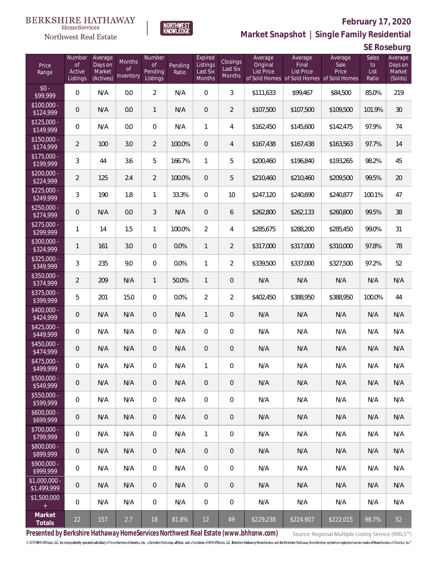



## **February 17, 2020**

**Market Snapshot | Single Family Residential**

**SE Roseburg**

| Price<br>Range               | Number<br>of<br>Active<br>Listings | Average<br>Days on<br>Market<br>(Actives) | Months<br>Οf<br>Inventory | Number<br>0f<br>Pending<br>Listings | Pending<br>Ratio | Expired<br>Listings<br>Last Six<br>Months | Closings<br>Last Six<br>Months | Average<br>Original<br><b>List Price</b> | Average<br>Final<br><b>List Price</b><br>of Sold Homes of Sold Homes of Sold Homes | Average<br>Sale<br>Price | Sales<br>to<br>List<br>Ratio | Average<br>Days on<br>Market<br>(Solds) |
|------------------------------|------------------------------------|-------------------------------------------|---------------------------|-------------------------------------|------------------|-------------------------------------------|--------------------------------|------------------------------------------|------------------------------------------------------------------------------------|--------------------------|------------------------------|-----------------------------------------|
| $$0 -$<br>\$99,999           | $\overline{0}$                     | N/A                                       | 0.0                       | $\overline{2}$                      | N/A              | $\overline{0}$                            | 3                              | \$111,633                                | \$99,467                                                                           | \$84,500                 | 85.0%                        | 219                                     |
| $$100,000 -$<br>\$124,999    | $\overline{0}$                     | N/A                                       | 0.0                       | $\mathbf{1}$                        | N/A              | $\overline{0}$                            | $\overline{2}$                 | \$107,500                                | \$107,500                                                                          | \$109,500                | 101.9%                       | 30                                      |
| $$125,000 -$<br>\$149,999    | $\overline{0}$                     | N/A                                       | 0.0                       | $\overline{0}$                      | N/A              | $\mathbf{1}$                              | $\overline{4}$                 | \$162,450                                | \$145,600                                                                          | \$142,475                | 97.9%                        | 74                                      |
| $$150,000 -$<br>\$174,999    | $\overline{2}$                     | 100                                       | 3.0                       | $\overline{2}$                      | 100.0%           | $\overline{0}$                            | $\overline{4}$                 | \$167,438                                | \$167,438                                                                          | \$163,563                | 97.7%                        | 14                                      |
| $$175,000 -$<br>\$199,999    | 3                                  | 44                                        | 3.6                       | 5                                   | 166.7%           | $\mathbf{1}$                              | 5                              | \$200,460                                | \$196,840                                                                          | \$193,265                | 98.2%                        | 45                                      |
| $$200,000 -$<br>\$224,999    | $\overline{2}$                     | 125                                       | 2.4                       | $\overline{2}$                      | 100.0%           | $\overline{0}$                            | 5                              | \$210,460                                | \$210,460                                                                          | \$209,500                | 99.5%                        | 20                                      |
| $$225,000 -$<br>\$249,999    | 3                                  | 190                                       | 1.8                       | $\mathbf{1}$                        | 33.3%            | $\overline{0}$                            | 10                             | \$247,120                                | \$240,690                                                                          | \$240,877                | 100.1%                       | 47                                      |
| $$250,000 -$<br>\$274,999    | 0                                  | N/A                                       | 0.0                       | 3                                   | N/A              | $\overline{0}$                            | 6                              | \$262,800                                | \$262,133                                                                          | \$260,800                | 99.5%                        | 38                                      |
| $$275,000 -$<br>\$299,999    | 1                                  | 14                                        | 1.5                       | $\mathbf{1}$                        | 100.0%           | $\overline{2}$                            | $\overline{4}$                 | \$285,675                                | \$288,200                                                                          | \$285,450                | 99.0%                        | 31                                      |
| $$300,000 -$<br>\$324,999    | $\mathbf{1}$                       | 161                                       | 3.0                       | $\overline{0}$                      | 0.0%             | $\mathbf{1}$                              | $\overline{2}$                 | \$317,000                                | \$317,000                                                                          | \$310,000                | 97.8%                        | 78                                      |
| $$325,000 -$<br>\$349,999    | 3                                  | 235                                       | 9.0                       | $\overline{0}$                      | 0.0%             | $\mathbf{1}$                              | $\overline{2}$                 | \$339,500                                | \$337,000                                                                          | \$327,500                | 97.2%                        | 52                                      |
| $$350,000 -$<br>\$374,999    | $\overline{2}$                     | 209                                       | N/A                       | $\mathbf{1}$                        | 50.0%            | $\mathbf{1}$                              | 0                              | N/A                                      | N/A                                                                                | N/A                      | N/A                          | N/A                                     |
| $$375,000 -$<br>\$399,999    | 5                                  | 201                                       | 15.0                      | $\Omega$                            | 0.0%             | $\overline{2}$                            | $\overline{2}$                 | \$402,450                                | \$388,950                                                                          | \$388,950                | 100.0%                       | 44                                      |
| $$400,000 -$<br>\$424,999    | 0                                  | N/A                                       | N/A                       | $\overline{0}$                      | N/A              | $\mathbf{1}$                              | 0                              | N/A                                      | N/A                                                                                | N/A                      | N/A                          | N/A                                     |
| $$425,000 -$<br>\$449,999    | $\mathbf 0$                        | N/A                                       | N/A                       | $\overline{0}$                      | N/A              | $\overline{0}$                            | $\overline{0}$                 | N/A                                      | N/A                                                                                | N/A                      | N/A                          | N/A                                     |
| $$450,000 -$<br>\$474,999    | 0                                  | N/A                                       | N/A                       | $\overline{0}$                      | N/A              | $\overline{0}$                            | 0                              | N/A                                      | N/A                                                                                | N/A                      | N/A                          | N/A                                     |
| $$475,000 -$<br>\$499,999    | 0                                  | N/A                                       | N/A                       | $\overline{0}$                      | N/A              | 1                                         | 0                              | N/A                                      | N/A                                                                                | N/A                      | N/A                          | N/A                                     |
| $$500,000 -$<br>\$549,999    | $\mathbf 0$                        | N/A                                       | N/A                       | $\,0\,$                             | N/A              | $\mathbf 0$                               | $\mathbf 0$                    | N/A                                      | N/A                                                                                | N/A                      | N/A                          | N/A                                     |
| $$550,000 -$<br>\$599,999    | $\mathbf 0$                        | N/A                                       | N/A                       | $\mathbf 0$                         | N/A              | $\mathbf 0$                               | 0                              | N/A                                      | N/A                                                                                | N/A                      | N/A                          | N/A                                     |
| $$600,000 -$<br>\$699,999    | $\mathbf 0$                        | N/A                                       | N/A                       | $\overline{0}$                      | N/A              | $\mathbf 0$                               | 0                              | N/A                                      | N/A                                                                                | N/A                      | N/A                          | N/A                                     |
| $$700,000 -$<br>\$799,999    | $\mathbb O$                        | N/A                                       | N/A                       | $\overline{0}$                      | N/A              | $\mathbf{1}$                              | 0                              | N/A                                      | N/A                                                                                | N/A                      | N/A                          | N/A                                     |
| \$800,000 -<br>\$899,999     | $\theta$                           | N/A                                       | N/A                       | $\overline{0}$                      | N/A              | $\mathbf 0$                               | 0                              | N/A                                      | N/A                                                                                | N/A                      | N/A                          | N/A                                     |
| $$900,000 -$<br>\$999,999    | 0                                  | N/A                                       | N/A                       | $\overline{0}$                      | N/A              | $\mathbf 0$                               | 0                              | N/A                                      | N/A                                                                                | N/A                      | N/A                          | N/A                                     |
| \$1,000,000 -<br>\$1,499,999 | $\theta$                           | N/A                                       | N/A                       | $\overline{0}$                      | N/A              | $\overline{0}$                            | 0                              | N/A                                      | N/A                                                                                | N/A                      | N/A                          | N/A                                     |
| \$1,500,000<br>$\pm$         | $\mathbf 0$                        | N/A                                       | N/A                       | $\mathbf 0$                         | N/A              | $\mathbf 0$                               | 0                              | N/A                                      | N/A                                                                                | N/A                      | N/A                          | N/A                                     |
| Market<br>Totals             | $22\,$                             | 157                                       | 2.7                       | 18                                  | 81.8%            | 12                                        | 49                             | \$229,238                                | \$224,907                                                                          | \$222,015                | 98.7%                        | 52                                      |

**Presented by Berkshire Hathaway HomeServices Northwest Real Estate (www.bhhsnw.com)**

Source: Regional Multiple Listing Service (RMLS™)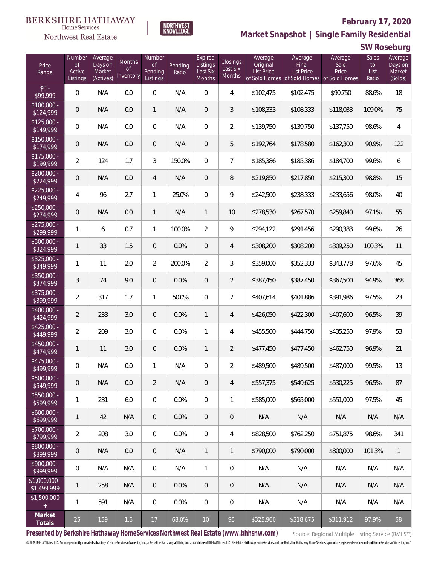

### **February 17, 2020**



**Market Snapshot | Single Family Residential**

**SW Roseburg**

| Price<br>Range               | Number<br><b>of</b><br>Active<br>Listings | Average<br>Days on<br>Market<br>(Actives) | Months<br><b>of</b><br>Inventory | Number<br><b>of</b><br>Pending<br>Listings | Pending<br>Ratio | Expired<br>Listings<br>Last Six<br>Months | <b>Closings</b><br>Last Six<br>Months | Average<br>Original<br><b>List Price</b> | Average<br>Final<br>List Price<br>of Sold Homes of Sold Homes of Sold Homes | Average<br>Sale<br>Price | Sales<br>to<br>List<br>Ratio | Average<br>Days on<br>Market<br>(Solds) |
|------------------------------|-------------------------------------------|-------------------------------------------|----------------------------------|--------------------------------------------|------------------|-------------------------------------------|---------------------------------------|------------------------------------------|-----------------------------------------------------------------------------|--------------------------|------------------------------|-----------------------------------------|
| $$0 -$<br>\$99,999           | $\overline{0}$                            | N/A                                       | 0.0                              | $\overline{0}$                             | N/A              | $\overline{0}$                            | $\overline{4}$                        | \$102,475                                | \$102,475                                                                   | \$90,750                 | 88.6%                        | 18                                      |
| $$100,000 -$<br>\$124,999    | 0                                         | N/A                                       | 0.0                              | $\mathbf{1}$                               | N/A              | $\overline{0}$                            | 3                                     | \$108,333                                | \$108,333                                                                   | \$118,033                | 109.0%                       | 75                                      |
| $$125,000 -$<br>\$149,999    | $\overline{0}$                            | N/A                                       | 0.0                              | $\overline{0}$                             | N/A              | $\overline{0}$                            | $\overline{2}$                        | \$139,750                                | \$139,750                                                                   | \$137,750                | 98.6%                        | $\overline{4}$                          |
| $$150,000 -$<br>\$174,999    | $\overline{0}$                            | N/A                                       | 0.0                              | $\overline{0}$                             | N/A              | $\overline{0}$                            | 5                                     | \$192,764                                | \$178,580                                                                   | \$162,300                | 90.9%                        | 122                                     |
| $$175,000 -$<br>\$199,999    | $\overline{2}$                            | 124                                       | 1.7                              | 3                                          | 150.0%           | $\overline{0}$                            | $\overline{7}$                        | \$185,386                                | \$185,386                                                                   | \$184,700                | 99.6%                        | 6                                       |
| $$200,000 -$<br>\$224,999    | 0                                         | N/A                                       | 0.0                              | 4                                          | N/A              | $\overline{0}$                            | 8                                     | \$219,850                                | \$217,850                                                                   | \$215,300                | 98.8%                        | 15                                      |
| $$225,000 -$<br>\$249,999    | 4                                         | 96                                        | 2.7                              | $\mathbf{1}$                               | 25.0%            | $\mathbf 0$                               | 9                                     | \$242,500                                | \$238,333                                                                   | \$233,656                | 98.0%                        | 40                                      |
| $$250,000 -$<br>\$274,999    | $\overline{0}$                            | N/A                                       | 0.0                              | $\mathbf{1}$                               | N/A              | $\mathbf{1}$                              | 10                                    | \$278,530                                | \$267,570                                                                   | \$259,840                | 97.1%                        | 55                                      |
| $$275,000 -$<br>\$299,999    | 1                                         | 6                                         | 0.7                              | $\mathbf{1}$                               | 100.0%           | $\overline{2}$                            | 9                                     | \$294,122                                | \$291,456                                                                   | \$290,383                | 99.6%                        | 26                                      |
| $$300,000 -$<br>\$324,999    | 1                                         | 33                                        | 1.5                              | $\overline{0}$                             | 0.0%             | $\overline{0}$                            | $\overline{4}$                        | \$308,200                                | \$308,200                                                                   | \$309,250                | 100.3%                       | 11                                      |
| $$325,000 -$<br>\$349,999    | 1                                         | 11                                        | 2.0                              | $\overline{2}$                             | 200.0%           | $\overline{2}$                            | 3                                     | \$359,000                                | \$352,333                                                                   | \$343,778                | 97.6%                        | 45                                      |
| $$350,000 -$<br>\$374,999    | 3                                         | 74                                        | 9.0                              | $\overline{0}$                             | 0.0%             | $\overline{0}$                            | $\overline{2}$                        | \$387,450                                | \$387,450                                                                   | \$367,500                | 94.9%                        | 368                                     |
| $$375,000 -$<br>\$399,999    | $\overline{2}$                            | 317                                       | 1.7                              | $\mathbf{1}$                               | 50.0%            | $\mathbf 0$                               | $\overline{7}$                        | \$407,614                                | \$401,886                                                                   | \$391,986                | 97.5%                        | 23                                      |
| $$400,000 -$<br>\$424,999    | $\overline{2}$                            | 233                                       | 3.0                              | $\overline{0}$                             | 0.0%             | $\mathbf{1}$                              | $\overline{4}$                        | \$426,050                                | \$422,300                                                                   | \$407,600                | 96.5%                        | 39                                      |
| $$425,000 -$<br>\$449,999    | $\overline{2}$                            | 209                                       | 3.0                              | $\Omega$                                   | 0.0%             | $\mathbf{1}$                              | $\overline{4}$                        | \$455,500                                | \$444,750                                                                   | \$435,250                | 97.9%                        | 53                                      |
| $$450,000 -$<br>\$474,999    | $\mathbf{1}$                              | 11                                        | 3.0                              | $\overline{0}$                             | 0.0%             | $\mathbf{1}$                              | $\overline{2}$                        | \$477,450                                | \$477,450                                                                   | \$462,750                | 96.9%                        | 21                                      |
| $$475,000 -$<br>\$499,999    | $\mathbf 0$                               | N/A                                       | 0.0                              | $\mathbf{1}$                               | N/A              | $\mathbf 0$                               | $\overline{a}$                        | \$489,500                                | \$489,500                                                                   | \$487,000                | 99.5%                        | 13                                      |
| \$500,000 -<br>\$549,999     | $\mathbf 0$                               | N/A                                       | 0.0                              | $\overline{2}$                             | N/A              | $\overline{0}$                            | $\overline{4}$                        | \$557,375                                | \$549,625                                                                   | \$530,225                | 96.5%                        | 87                                      |
| $$550,000 -$<br>\$599,999    | 1                                         | 231                                       | 6.0                              | $\mathbf 0$                                | 0.0%             | $\overline{0}$                            | 1                                     | \$585,000                                | \$565,000                                                                   | \$551,000                | 97.5%                        | 45                                      |
| $$600,000 -$<br>\$699,999    | 1                                         | 42                                        | N/A                              | $\overline{0}$                             | 0.0%             | $\overline{0}$                            | 0                                     | N/A                                      | N/A                                                                         | N/A                      | N/A                          | N/A                                     |
| $$700,000 -$<br>\$799,999    | $\overline{2}$                            | 208                                       | 3.0                              | $\overline{0}$                             | 0.0%             | $\mathbf 0$                               | $\overline{4}$                        | \$828,500                                | \$762,250                                                                   | \$751,875                | 98.6%                        | 341                                     |
| $$800,000 -$<br>\$899,999    | $\boldsymbol{0}$                          | N/A                                       | 0.0                              | $\overline{0}$                             | N/A              | $\mathbf{1}$                              | 1                                     | \$790,000                                | \$790,000                                                                   | \$800,000                | 101.3%                       | $\mathbf{1}$                            |
| $$900,000 -$<br>\$999,999    | $\,0\,$                                   | N/A                                       | N/A                              | $\overline{0}$                             | N/A              | $\mathbf{1}$                              | 0                                     | N/A                                      | N/A                                                                         | N/A                      | N/A                          | N/A                                     |
| \$1,000,000 -<br>\$1,499,999 | 1                                         | 258                                       | N/A                              | $\overline{0}$                             | 0.0%             | $\overline{0}$                            | 0                                     | N/A                                      | N/A                                                                         | N/A                      | N/A                          | N/A                                     |
| \$1,500,000<br>$+$           | 1                                         | 591                                       | N/A                              | $\overline{0}$                             | 0.0%             | $\overline{0}$                            | 0                                     | N/A                                      | N/A                                                                         | N/A                      | N/A                          | N/A                                     |
| Market<br>Totals             | 25                                        | 159                                       | 1.6                              | 17                                         | 68.0%            | $10$                                      | 95                                    | \$325,960                                | \$318,675                                                                   | \$311,912                | 97.9%                        | 58                                      |

**Presented by Berkshire Hathaway HomeServices Northwest Real Estate (www.bhhsnw.com)**

Source: Regional Multiple Listing Service (RMLS™)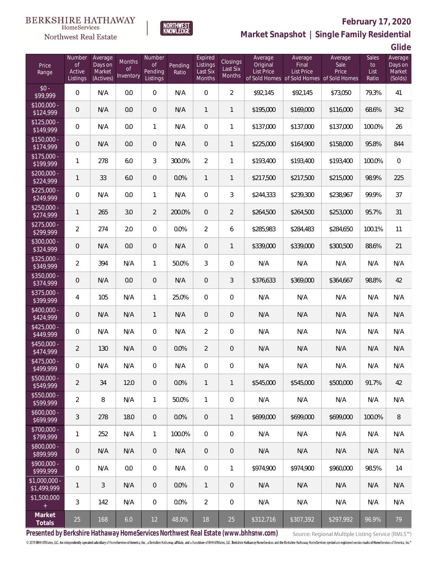



# **February 17, 2020**

**Market Snapshot | Single Family Residential**

**Glide**

| Price<br>Range               | Number<br><b>of</b><br>Active<br>Listings | Average<br>Days on<br>Market<br>(Actives) | Months<br><b>of</b><br>Inventory | Number<br>of<br>Pending<br>Listings | Pending<br>Ratio | Expired<br>Listings<br>Last Six<br>Months | Closings<br>Last Six<br>Months | Average<br>Original<br><b>List Price</b> | Average<br>Final<br><b>List Price</b><br>of Sold Homes of Sold Homes of Sold Homes | Average<br>Sale<br>Price | <b>Sales</b><br>to<br>List<br>Ratio | Average<br>Days on<br>Market<br>(Solds) |
|------------------------------|-------------------------------------------|-------------------------------------------|----------------------------------|-------------------------------------|------------------|-------------------------------------------|--------------------------------|------------------------------------------|------------------------------------------------------------------------------------|--------------------------|-------------------------------------|-----------------------------------------|
| $$0 -$<br>\$99,999           | 0                                         | N/A                                       | 0.0                              | $\boldsymbol{0}$                    | N/A              | $\mathbf 0$                               | $\overline{2}$                 | \$92,145                                 | \$92,145                                                                           | \$73,050                 | 79.3%                               | 41                                      |
| $$100,000 -$<br>\$124,999    | 0                                         | N/A                                       | 0.0                              | $\overline{0}$                      | N/A              | $\mathbf{1}$                              | $\mathbf{1}$                   | \$195,000                                | \$169,000                                                                          | \$116,000                | 68.6%                               | 342                                     |
| $$125,000 -$<br>\$149,999    | 0                                         | N/A                                       | 0.0                              | 1                                   | N/A              | $\mathbf 0$                               | $\mathbf{1}$                   | \$137,000                                | \$137,000                                                                          | \$137,000                | 100.0%                              | 26                                      |
| $$150,000 -$<br>\$174,999    | 0                                         | N/A                                       | 0.0                              | $\overline{0}$                      | N/A              | $\mathbf 0$                               | $\mathbf{1}$                   | \$225,000                                | \$164,900                                                                          | \$158,000                | 95.8%                               | 844                                     |
| $$175,000 -$<br>\$199,999    | $\mathbf{1}$                              | 278                                       | 6.0                              | 3                                   | 300.0%           | $\overline{2}$                            | $\mathbf{1}$                   | \$193,400                                | \$193,400                                                                          | \$193,400                | 100.0%                              | $\mathbf 0$                             |
| $$200,000 -$<br>\$224,999    | $\mathbf{1}$                              | 33                                        | 6.0                              | $\boldsymbol{0}$                    | 0.0%             | $\mathbf{1}$                              | $\mathbf{1}$                   | \$217,500                                | \$217,500                                                                          | \$215,000                | 98.9%                               | 225                                     |
| $$225,000 -$<br>\$249,999    | 0                                         | N/A                                       | 0.0                              | $\mathbf{1}$                        | N/A              | $\mathbf 0$                               | 3                              | \$244,333                                | \$239,300                                                                          | \$238,967                | 99.9%                               | 37                                      |
| $$250,000 -$<br>\$274,999    | $\mathbf{1}$                              | 265                                       | 3.0                              | $\overline{2}$                      | 200.0%           | $\mathbf 0$                               | $\overline{2}$                 | \$264,500                                | \$264,500                                                                          | \$253,000                | 95.7%                               | 31                                      |
| $$275,000 -$<br>\$299,999    | $\overline{2}$                            | 274                                       | 2.0                              | $\overline{0}$                      | 0.0%             | $\overline{2}$                            | 6                              | \$285,983                                | \$284,483                                                                          | \$284,650                | 100.1%                              | 11                                      |
| \$300,000 -<br>\$324,999     | 0                                         | N/A                                       | 0.0                              | $\boldsymbol{0}$                    | N/A              | $\mathbf 0$                               | $\mathbf{1}$                   | \$339,000                                | \$339,000                                                                          | \$300,500                | 88.6%                               | 21                                      |
| $$325,000 -$<br>\$349,999    | $\overline{2}$                            | 394                                       | N/A                              | $\mathbf{1}$                        | 50.0%            | 3                                         | $\mathbf 0$                    | N/A                                      | N/A                                                                                | N/A                      | N/A                                 | N/A                                     |
| $$350,000 -$<br>\$374,999    | $\mathbf 0$                               | N/A                                       | 0.0                              | $\boldsymbol{0}$                    | N/A              | $\boldsymbol{0}$                          | 3                              | \$376,633                                | \$369,000                                                                          | \$364,667                | 98.8%                               | 42                                      |
| \$375,000 -<br>\$399,999     | $\overline{4}$                            | 105                                       | N/A                              | $\mathbf{1}$                        | 25.0%            | $\overline{0}$                            | $\boldsymbol{0}$               | N/A                                      | N/A                                                                                | N/A                      | N/A                                 | N/A                                     |
| $$400,000 -$<br>\$424,999    | 0                                         | N/A                                       | N/A                              | $\mathbf{1}$                        | N/A              | $\boldsymbol{0}$                          | 0                              | N/A                                      | N/A                                                                                | N/A                      | N/A                                 | N/A                                     |
| $$425,000 -$<br>\$449,999    | 0                                         | N/A                                       | N/A                              | $\boldsymbol{0}$                    | N/A              | $\overline{2}$                            | $\boldsymbol{0}$               | N/A                                      | N/A                                                                                | N/A                      | N/A                                 | N/A                                     |
| $$450,000 -$<br>\$474,999    | $\overline{2}$                            | 130                                       | N/A                              | $\boldsymbol{0}$                    | 0.0%             | $\overline{2}$                            | 0                              | N/A                                      | N/A                                                                                | N/A                      | N/A                                 | N/A                                     |
| \$475,000 -<br>\$499,999     | 0                                         | N/A                                       | N/A                              | 0                                   | N/A              | 0                                         | 0                              | N/A                                      | N/A                                                                                | N/A                      | N/A                                 | N/A                                     |
| $$500,000 -$<br>\$549,999    | $\overline{a}$                            | 34                                        | 12.0                             | $\mathbf 0$                         | 0.0%             | $\mathbf{1}$                              | $\mathbf{1}$                   | \$545,000                                | \$545,000                                                                          | \$500,000                | 91.7%                               | 42                                      |
| $$550,000 -$<br>\$599,999    | $\overline{2}$                            | 8                                         | N/A                              | $\mathbf{1}$                        | 50.0%            | $\mathbf{1}$                              | $\mathbf 0$                    | N/A                                      | N/A                                                                                | N/A                      | N/A                                 | N/A                                     |
| $$600,000 -$<br>\$699,999    | 3                                         | 278                                       | 18.0                             | $\mathbf 0$                         | 0.0%             | $\mathbf 0$                               | $\mathbf{1}$                   | \$699,000                                | \$699,000                                                                          | \$699,000                | 100.0%                              | $\, 8$                                  |
| \$700,000 -<br>\$799,999     | 1                                         | 252                                       | N/A                              | $\mathbf{1}$                        | 100.0%           | $\overline{0}$                            | $\mathbf 0$                    | N/A                                      | N/A                                                                                | N/A                      | N/A                                 | N/A                                     |
| \$800,000 -<br>\$899,999     | 0                                         | N/A                                       | N/A                              | $\overline{0}$                      | N/A              | $\overline{0}$                            | $\mathbf{0}$                   | N/A                                      | N/A                                                                                | N/A                      | N/A                                 | N/A                                     |
| $$900,000 -$<br>\$999,999    | 0                                         | N/A                                       | 0.0                              | $\mathbf{0}$                        | N/A              | $\mathbf{0}$                              | $\mathbf{1}$                   | \$974,900                                | \$974,900                                                                          | \$960,000                | 98.5%                               | 14                                      |
| \$1,000,000 -<br>\$1,499,999 | 1                                         | 3                                         | N/A                              | $\mathbf 0$                         | 0.0%             | $\mathbf{1}$                              | $\,0\,$                        | N/A                                      | N/A                                                                                | N/A                      | N/A                                 | N/A                                     |
| \$1,500,000<br>$\pm$         | 3                                         | 142                                       | N/A                              | $\,0\,$                             | 0.0%             | $\overline{2}$                            | $\,0\,$                        | N/A                                      | N/A                                                                                | N/A                      | N/A                                 | N/A                                     |
| Market<br>Totals             | 25                                        | 168                                       | 6.0                              | 12                                  | 48.0%            | 18                                        | 25                             | \$312,716                                | \$307,392                                                                          | \$297,992                | 96.9%                               | 79                                      |

**Presented by Berkshire Hathaway HomeServices Northwest Real Estate (www.bhhsnw.com)**

Source: Regional Multiple Listing Service (RMLS™)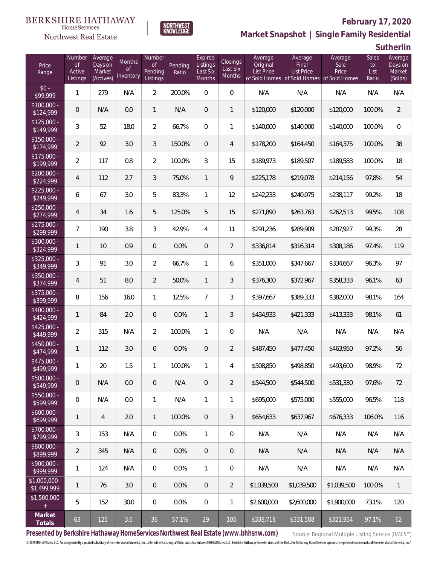### **February 17, 2020**



**NORTHWEST**<br>KNOWLEDGE

#### Northwest Real Estate

**Market Snapshot | Single Family Residential**

**Sutherlin**

| Price<br>Range                | Number<br>$\mathsf{of}$<br>Active<br>Listings | Average<br>Days on<br>Market<br>(Actives) | Months<br><b>of</b><br>Inventory | Number<br><b>of</b><br>Pending<br>Listings | Pending<br>Ratio | Expired<br>Listings<br>Last Six<br><b>Months</b> | Closings<br>Last Six<br>Months | Average<br>Original<br><b>List Price</b> | Average<br>Final<br><b>List Price</b> | Average<br>Sale<br>Price<br>of Sold Homes of Sold Homes of Sold Homes | Sales<br>to<br>List<br>Ratio | Average<br>Days on<br>Market<br>(Solds) |
|-------------------------------|-----------------------------------------------|-------------------------------------------|----------------------------------|--------------------------------------------|------------------|--------------------------------------------------|--------------------------------|------------------------------------------|---------------------------------------|-----------------------------------------------------------------------|------------------------------|-----------------------------------------|
| $$0 -$<br>\$99,999            | 1                                             | 279                                       | N/A                              | $\overline{a}$                             | 200.0%           | $\overline{0}$                                   | $\boldsymbol{0}$               | N/A                                      | N/A                                   | N/A                                                                   | N/A                          | N/A                                     |
| $$100,000 -$<br>\$124,999     | $\mathbf 0$                                   | N/A                                       | 0.0                              | $\mathbf{1}$                               | N/A              | $\mathbf 0$                                      | $\mathbf{1}$                   | \$120,000                                | \$120,000                             | \$120,000                                                             | 100.0%                       | $\overline{2}$                          |
| $$125,000 -$<br>\$149,999     | $\sqrt{3}$                                    | 52                                        | 18.0                             | $\overline{2}$                             | 66.7%            | $\overline{0}$                                   | $\mathbf{1}$                   | \$140,000                                | \$140,000                             | \$140,000                                                             | 100.0%                       | $\mathbf 0$                             |
| $$150,000 -$<br>\$174,999     | $\overline{2}$                                | 92                                        | 3.0                              | 3                                          | 150.0%           | $\overline{0}$                                   | 4                              | \$178,200                                | \$164,450                             | \$164,375                                                             | 100.0%                       | 38                                      |
| $$175,000 -$<br>\$199,999     | $\overline{2}$                                | 117                                       | 0.8                              | $\overline{2}$                             | 100.0%           | 3                                                | 15                             | \$189,973                                | \$189,507                             | \$189,583                                                             | 100.0%                       | 18                                      |
| $$200,000 -$<br>\$224,999     | 4                                             | 112                                       | 2.7                              | 3                                          | 75.0%            | $\mathbf{1}$                                     | 9                              | \$225,178                                | \$219,078                             | \$214,156                                                             | 97.8%                        | 54                                      |
| $$225,000 -$<br>\$249,999     | 6                                             | 67                                        | 3.0                              | 5                                          | 83.3%            | 1                                                | 12                             | \$242,233                                | \$240,075                             | \$238,117                                                             | 99.2%                        | 18                                      |
| $$250,000 -$<br>\$274,999     | 4                                             | 34                                        | 1.6                              | 5                                          | 125.0%           | 5                                                | 15                             | \$271,890                                | \$263,763                             | \$262,513                                                             | 99.5%                        | 108                                     |
| $$275,000 -$<br>\$299,999     | 7                                             | 190                                       | 3.8                              | 3                                          | 42.9%            | 4                                                | 11                             | \$291,236                                | \$289,909                             | \$287,927                                                             | 99.3%                        | 28                                      |
| \$300,000 -<br>\$324,999      | 1                                             | 10                                        | 0.9                              | 0                                          | 0.0%             | $\mathbf 0$                                      | $\overline{7}$                 | \$336,814                                | \$316,314                             | \$308,186                                                             | 97.4%                        | 119                                     |
| $$325,000 -$<br>\$349,999     | $\sqrt{3}$                                    | 91                                        | 3.0                              | $\overline{2}$                             | 66.7%            | $\mathbf{1}$                                     | 6                              | \$351,000                                | \$347,667                             | \$334,667                                                             | 96.3%                        | 97                                      |
| $$350,000 -$<br>\$374,999     | $\overline{4}$                                | 51                                        | 8.0                              | $\overline{2}$                             | 50.0%            | $\mathbf{1}$                                     | 3                              | \$376,300                                | \$372,967                             | \$358,333                                                             | 96.1%                        | 63                                      |
| $$375,000 -$<br>\$399,999     | 8                                             | 156                                       | 16.0                             | $\mathbf{1}$                               | 12.5%            | $\overline{7}$                                   | 3                              | \$397,667                                | \$389,333                             | \$382,000                                                             | 98.1%                        | 164                                     |
| $$400,000 -$<br>\$424,999     | $\mathbf{1}$                                  | 84                                        | 2.0                              | 0                                          | 0.0%             | $\mathbf{1}$                                     | 3                              | \$434,933                                | \$421,333                             | \$413,333                                                             | 98.1%                        | 61                                      |
| $$425,000 -$<br>\$449,999     | $\overline{2}$                                | 315                                       | N/A                              | $\overline{2}$                             | 100.0%           | 1                                                | $\mathbf 0$                    | N/A                                      | N/A                                   | N/A                                                                   | N/A                          | N/A                                     |
| $$450,000 -$<br>\$474,999     | $\mathbf{1}$                                  | 112                                       | 3.0                              | 0                                          | 0.0%             | $\mathbf 0$                                      | $\overline{2}$                 | \$487,450                                | \$477,450                             | \$463,950                                                             | 97.2%                        | 56                                      |
| \$475,000 -<br>\$499,999      | 1                                             | 20                                        | 1.5                              | 1                                          | 100.0%           | 1                                                | 4                              | \$508,850                                | \$498,850                             | \$493,600                                                             | 98.9%                        | 72                                      |
| $$500,000 -$<br>\$549,999     | $\mathbf 0$                                   | N/A                                       | 0.0                              | 0                                          | N/A              | $\overline{0}$                                   | 2                              | \$544,500                                | \$544,500                             | \$531,330                                                             | 97.6%                        | 72                                      |
| $$550,000 -$<br>\$599,999     | 0                                             | N/A                                       | 0.0                              | $\mathbf{1}$                               | N/A              | $\mathbf{1}$                                     | 1                              | \$695,000                                | \$575,000                             | \$555,000                                                             | 96.5%                        | 118                                     |
| $$600,000 -$<br>\$699,999     | $\mathbf{1}$                                  | $\overline{4}$                            | 2.0                              | $\mathbf{1}$                               | 100.0%           | $\overline{0}$                                   | 3                              | \$654,633                                | \$637.967                             | \$676,333                                                             | 106.0%                       | 116                                     |
| $$700,000 -$<br>\$799,999     | 3                                             | 153                                       | N/A                              | $\boldsymbol{0}$                           | 0.0%             | $\mathbf{1}$                                     | 0                              | N/A                                      | N/A                                   | N/A                                                                   | N/A                          | N/A                                     |
| $$800,000 -$<br>\$899,999     | $\overline{2}$                                | 345                                       | N/A                              | $\overline{0}$                             | 0.0%             | $\overline{0}$                                   | $\overline{0}$                 | N/A                                      | N/A                                   | N/A                                                                   | N/A                          | N/A                                     |
| $$900,000 -$<br>\$999,999     | 1                                             | 124                                       | N/A                              | 0                                          | 0.0%             | $\mathbf{1}$                                     | 0                              | N/A                                      | N/A                                   | N/A                                                                   | N/A                          | N/A                                     |
| $$1,000,000$ -<br>\$1,499,999 | $\mathbf{1}$                                  | 76                                        | 3.0                              | $\overline{0}$                             | 0.0%             | $\overline{0}$                                   | 2                              | \$1,039,500                              | \$1,039,500                           | \$1,039,500                                                           | 100.0%                       | $\overline{1}$                          |
| \$1,500,000                   | 5                                             | 152                                       | 30.0                             | 0                                          | 0.0%             | $\overline{0}$                                   | $\mathbf{1}$                   | \$2,600,000                              | \$2,600,000                           | \$1,900,000                                                           | 73.1%                        | 120                                     |
| Market<br>Totals              | 63                                            | 125                                       | 3.6                              | 36                                         | 57.1%            | 29                                               | 105                            | \$338,718                                | \$331,588                             | \$321,954                                                             | 97.1%                        | 62                                      |

**Presented by Berkshire Hathaway HomeServices Northwest Real Estate (www.bhhsnw.com)**

Source: Regional Multiple Listing Service (RMLS™)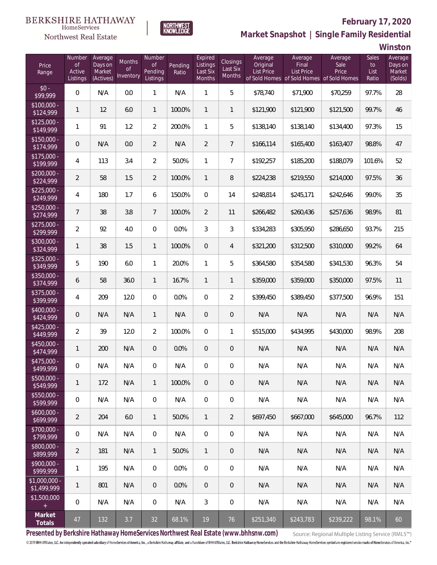

### **February 17, 2020**



**Market Snapshot | Single Family Residential**

**Winston**

| Price<br>Range                    | Number<br>of<br>Active<br>Listings | Average<br>Days on<br>Market<br>(Actives) | <b>Months</b><br>Οf<br>Inventory | Number<br><b>of</b><br>Pending<br>Listings | Pending<br>Ratio | Expired<br>Listings<br>Last Six<br>Months | Closings<br>Last Six<br>Months | Average<br>Original<br><b>List Price</b> | Average<br>Final<br>List Price<br>of Sold Homes of Sold Homes of Sold Homes | Average<br>Sale<br>Price | Sales<br>to<br>List<br>Ratio | Average<br>Days on<br>Market<br>(Solds) |
|-----------------------------------|------------------------------------|-------------------------------------------|----------------------------------|--------------------------------------------|------------------|-------------------------------------------|--------------------------------|------------------------------------------|-----------------------------------------------------------------------------|--------------------------|------------------------------|-----------------------------------------|
| $$0 -$<br>\$99,999                | $\overline{0}$                     | N/A                                       | 0.0                              | $\mathbf{1}$                               | N/A              | $\mathbf{1}$                              | 5                              | \$78,740                                 | \$71,900                                                                    | \$70,259                 | 97.7%                        | 28                                      |
| $$100,000 -$<br>\$124,999         | 1                                  | 12                                        | 6.0                              | $\mathbf{1}$                               | 100.0%           | $\mathbf{1}$                              | $\mathbf{1}$                   | \$121,900                                | \$121,900                                                                   | \$121,500                | 99.7%                        | 46                                      |
| $$125,000 -$<br>$\sqrt{$149,999}$ | 1                                  | 91                                        | 1.2                              | $\overline{2}$                             | 200.0%           | $\mathbf{1}$                              | 5                              | \$138,140                                | \$138,140                                                                   | \$134,400                | 97.3%                        | 15                                      |
| $$150,000 -$<br>\$174,999         | 0                                  | N/A                                       | 0.0                              | $\overline{2}$                             | N/A              | $\overline{2}$                            | $7\overline{ }$                | \$166,114                                | \$165,400                                                                   | \$163,407                | 98.8%                        | 47                                      |
| $$175,000 -$<br>\$199,999         | 4                                  | 113                                       | 3.4                              | $\overline{2}$                             | 50.0%            | $\mathbf{1}$                              | $\overline{7}$                 | \$192,257                                | \$185,200                                                                   | \$188,079                | 101.6%                       | 52                                      |
| $$200,000 -$<br>\$224,999         | $\overline{2}$                     | 58                                        | 1.5                              | $\overline{2}$                             | 100.0%           | $\mathbf{1}$                              | 8                              | \$224,238                                | \$219,550                                                                   | \$214,000                | 97.5%                        | 36                                      |
| $$225,000 -$<br>\$249,999         | 4                                  | 180                                       | 1.7                              | 6                                          | 150.0%           | $\overline{0}$                            | 14                             | \$248,814                                | \$245,171                                                                   | \$242,646                | 99.0%                        | 35                                      |
| $$250,000 -$<br>\$274,999         | $\overline{7}$                     | 38                                        | 3.8                              | $\overline{7}$                             | 100.0%           | $\overline{2}$                            | 11                             | \$266,482                                | \$260,436                                                                   | \$257,636                | 98.9%                        | 81                                      |
| $$275,000 -$<br>\$299,999         | $\overline{a}$                     | 92                                        | 4.0                              | $\overline{0}$                             | 0.0%             | 3                                         | 3                              | \$334,283                                | \$305,950                                                                   | \$286,650                | 93.7%                        | 215                                     |
| \$300,000 -<br>\$324,999          | 1                                  | 38                                        | 1.5                              | $\mathbf{1}$                               | 100.0%           | $\overline{0}$                            | $\overline{4}$                 | \$321,200                                | \$312,500                                                                   | \$310,000                | 99.2%                        | 64                                      |
| $$325,000 -$<br>\$349,999         | 5                                  | 190                                       | 6.0                              | $\mathbf{1}$                               | 20.0%            | $\mathbf{1}$                              | 5                              | \$364,580                                | \$354,580                                                                   | \$341,530                | 96.3%                        | 54                                      |
| $$350,000 -$<br>\$374,999         | 6                                  | 58                                        | 36.0                             | $\mathbf{1}$                               | 16.7%            | $\mathbf{1}$                              | $\overline{1}$                 | \$359,000                                | \$359,000                                                                   | \$350,000                | 97.5%                        | 11                                      |
| $$375,000 -$<br>\$399,999         | 4                                  | 209                                       | 12.0                             | $\overline{0}$                             | 0.0%             | $\overline{0}$                            | $\overline{2}$                 | \$399,450                                | \$389,450                                                                   | \$377,500                | 96.9%                        | 151                                     |
| $$400,000 -$<br>\$424,999         | 0                                  | N/A                                       | N/A                              | $\mathbf{1}$                               | N/A              | $\overline{0}$                            | $\mathbf 0$                    | N/A                                      | N/A                                                                         | N/A                      | N/A                          | N/A                                     |
| $$425,000 -$<br>\$449,999         | $\overline{2}$                     | 39                                        | 12.0                             | $\overline{2}$                             | 100.0%           | $\overline{0}$                            | $\mathbf{1}$                   | \$515,000                                | \$434,995                                                                   | \$430,000                | 98.9%                        | 208                                     |
| $$450,000 -$<br>\$474,999         | 1                                  | 200                                       | N/A                              | $\overline{0}$                             | 0.0%             | $\overline{0}$                            | $\mathbf 0$                    | N/A                                      | N/A                                                                         | N/A                      | N/A                          | N/A                                     |
| $$475,000 -$<br>\$499,999         | 0                                  | N/A                                       | N/A                              | 0                                          | N/A              | $\overline{0}$                            | 0                              | N/A                                      | N/A                                                                         | N/A                      | N/A                          | N/A                                     |
| $$500,000 -$<br>\$549,999         | 1                                  | 172                                       | N/A                              | $\mathbf{1}$                               | 100.0%           | $\overline{0}$                            | $\mathbf 0$                    | N/A                                      | N/A                                                                         | N/A                      | N/A                          | N/A                                     |
| $$550,000 -$<br>\$599,999         | $\mathbf 0$                        | N/A                                       | N/A                              | $\mathbf 0$                                | N/A              | $\boldsymbol{0}$                          | 0                              | N/A                                      | N/A                                                                         | N/A                      | N/A                          | N/A                                     |
| $$600,000 -$<br>\$699,999         | $\overline{2}$                     | 204                                       | 6.0                              | $\overline{1}$                             | 50.0%            | $\mathbf{1}$                              | $\overline{2}$                 | \$697,450                                | \$667,000                                                                   | \$645,000                | 96.7%                        | 112                                     |
| $$700,000 -$<br>\$799,999         | $\mathbf 0$                        | N/A                                       | N/A                              | $\mathbf 0$                                | N/A              | $\boldsymbol{0}$                          | 0                              | N/A                                      | N/A                                                                         | N/A                      | N/A                          | N/A                                     |
| $$800,000 -$<br>\$899,999         | $\overline{2}$                     | 181                                       | N/A                              | $\mathbf{1}$                               | 50.0%            | $\mathbf{1}$                              | $\mathbf 0$                    | N/A                                      | N/A                                                                         | N/A                      | N/A                          | N/A                                     |
| $$900,000 -$<br>\$999,999         | 1                                  | 195                                       | N/A                              | $\mathbf 0$                                | 0.0%             | $\boldsymbol{0}$                          | 0                              | N/A                                      | N/A                                                                         | N/A                      | N/A                          | N/A                                     |
| $$1,000,000$ -<br>\$1,499,999     | 1                                  | 801                                       | N/A                              | $\overline{0}$                             | 0.0%             | $\overline{0}$                            | 0                              | N/A                                      | N/A                                                                         | N/A                      | N/A                          | N/A                                     |
| \$1,500,000<br>$\pm$              | $\mathbf 0$                        | N/A                                       | N/A                              | $\mathbf 0$                                | N/A              | 3                                         | $\mathbf{0}$                   | N/A                                      | N/A                                                                         | N/A                      | N/A                          | N/A                                     |
| Market<br>Totals                  | 47                                 | 132                                       | 3.7                              | 32                                         | 68.1%            | 19                                        | 76                             | \$251,340                                | \$243,783                                                                   | \$239,222                | 98.1%                        | 60                                      |

**Presented by Berkshire Hathaway HomeServices Northwest Real Estate (www.bhhsnw.com)**

Source: Regional Multiple Listing Service (RMLS™)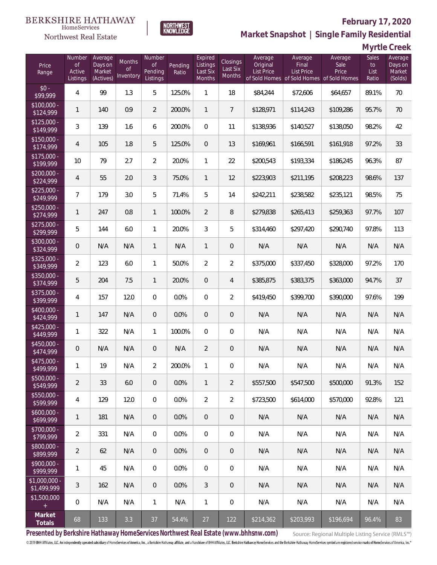

#### **February 17, 2020**

**Market Snapshot | Single Family Residential**

|  | Myrtle Creek |  |
|--|--------------|--|
|--|--------------|--|

| Price<br>Range               | Number<br><b>of</b><br>Active<br>Listings | Average<br>Days on<br>Market<br>(Actives) | <b>Months</b><br><b>of</b><br>Inventory | Number<br><b>of</b><br>Pending<br>Listings | Pending<br>Ratio | Expired<br>Listings<br>Last Six<br>Months | Closings<br>Last Six<br>Months | Average<br>Original<br><b>List Price</b> | Average<br>Final<br>List Price<br>of Sold Homes of Sold Homes of Sold Homes | Average<br>Sale<br>Price | Sales<br>to<br>List<br>Ratio | Average<br>Days on<br>Market<br>(Solds) |
|------------------------------|-------------------------------------------|-------------------------------------------|-----------------------------------------|--------------------------------------------|------------------|-------------------------------------------|--------------------------------|------------------------------------------|-----------------------------------------------------------------------------|--------------------------|------------------------------|-----------------------------------------|
| $$0 -$<br>\$99,999           | $\overline{4}$                            | 99                                        | 1.3                                     | 5                                          | 125.0%           | $\mathbf{1}$                              | 18                             | \$84,244                                 | \$72,606                                                                    | \$64,657                 | 89.1%                        | 70                                      |
| \$100,000 -<br>\$124,999     | $\mathbf{1}$                              | 140                                       | 0.9                                     | $\overline{2}$                             | 200.0%           | $\mathbf{1}$                              | $\overline{7}$                 | \$128,971                                | \$114,243                                                                   | \$109,286                | 95.7%                        | 70                                      |
| $$125,000 -$<br>\$149,999    | 3                                         | 139                                       | 1.6                                     | 6                                          | 200.0%           | $\overline{0}$                            | 11                             | \$138,936                                | \$140,527                                                                   | \$138,050                | 98.2%                        | 42                                      |
| $$150,000 -$<br>\$174,999    | $\overline{4}$                            | 105                                       | 1.8                                     | 5                                          | 125.0%           | $\overline{0}$                            | 13                             | \$169,961                                | \$166,591                                                                   | \$161,918                | 97.2%                        | 33                                      |
| $$175,000 -$<br>\$199,999    | 10                                        | 79                                        | 2.7                                     | $\overline{2}$                             | 20.0%            | $\mathbf{1}$                              | 22                             | \$200,543                                | \$193,334                                                                   | \$186,245                | 96.3%                        | 87                                      |
| $$200,000 -$<br>\$224,999    | $\overline{4}$                            | 55                                        | 2.0                                     | 3                                          | 75.0%            | $\mathbf{1}$                              | 12                             | \$223,903                                | \$211,195                                                                   | \$208,223                | 98.6%                        | 137                                     |
| $$225,000 -$<br>\$249,999    | $\overline{7}$                            | 179                                       | 3.0                                     | 5                                          | 71.4%            | 5                                         | 14                             | \$242,211                                | \$238,582                                                                   | \$235,121                | 98.5%                        | 75                                      |
| $$250,000 -$<br>\$274,999    | $\mathbf{1}$                              | 247                                       | 0.8                                     | $\mathbf{1}$                               | 100.0%           | $\overline{2}$                            | 8                              | \$279,838                                | \$265,413                                                                   | \$259,363                | 97.7%                        | 107                                     |
| $$275,000 -$<br>\$299,999    | 5                                         | 144                                       | 6.0                                     | 1                                          | 20.0%            | 3                                         | 5                              | \$314,460                                | \$297,420                                                                   | \$290,740                | 97.8%                        | 113                                     |
| $$300,000 -$<br>\$324,999    | 0                                         | N/A                                       | N/A                                     | $\mathbf{1}$                               | N/A              | $\mathbf{1}$                              | $\overline{0}$                 | N/A                                      | N/A                                                                         | N/A                      | N/A                          | N/A                                     |
| $$325,000 -$<br>\$349,999    | $\overline{2}$                            | 123                                       | 6.0                                     | 1                                          | 50.0%            | $\overline{2}$                            | $\overline{2}$                 | \$375,000                                | \$337,450                                                                   | \$328,000                | 97.2%                        | 170                                     |
| $$350,000 -$<br>\$374,999    | 5                                         | 204                                       | 7.5                                     | $\mathbf{1}$                               | 20.0%            | $\mathbf{0}$                              | $\overline{4}$                 | \$385,875                                | \$383,375                                                                   | \$363,000                | 94.7%                        | 37                                      |
| $$375,000 -$<br>399,999      | 4                                         | 157                                       | 12.0                                    | 0                                          | 0.0%             | $\overline{0}$                            | $\overline{2}$                 | \$419,450                                | \$399,700                                                                   | \$390,000                | 97.6%                        | 199                                     |
| $$400,000 -$<br>\$424,999    | $\mathbf{1}$                              | 147                                       | N/A                                     | $\overline{0}$                             | 0.0%             | $\mathbf{0}$                              | $\overline{0}$                 | N/A                                      | N/A                                                                         | N/A                      | N/A                          | N/A                                     |
| $$425,000 -$<br>\$449,999    | $\mathbf{1}$                              | 322                                       | N/A                                     | $\mathbf{1}$                               | 100.0%           | $\mathbf{0}$                              | $\overline{0}$                 | N/A                                      | N/A                                                                         | N/A                      | N/A                          | N/A                                     |
| $$450,000 -$<br>\$474,999    | 0                                         | N/A                                       | N/A                                     | 0                                          | N/A              | $\overline{2}$                            | $\theta$                       | N/A                                      | N/A                                                                         | N/A                      | N/A                          | N/A                                     |
| $$475,000 -$<br>\$499,999    | $\mathbf{1}$                              | 19                                        | N/A                                     | $\overline{2}$                             | 200.0%           | $\mathbf{1}$                              | $\mathbf 0$                    | N/A                                      | N/A                                                                         | N/A                      | N/A                          | N/A                                     |
| $$500,000 -$<br>\$549,999    | $\overline{2}$                            | 33                                        | 6.0                                     | 0                                          | 0.0%             | $\mathbf{1}$                              | 2                              | \$557,500                                | \$547,500                                                                   | \$500,000                | 91.3%                        | 152                                     |
| $$550,000 -$<br>\$599,999    | 4                                         | 129                                       | 12.0                                    | $\overline{0}$                             | 0.0%             | $\overline{2}$                            | $\overline{2}$                 | \$723,500                                | \$614,000                                                                   | \$570,000                | 92.8%                        | 121                                     |
| $$600,000 -$<br>\$699,999    | 1                                         | 181                                       | N/A                                     | $\overline{0}$                             | 0.0%             | $\overline{0}$                            | $\overline{0}$                 | N/A                                      | N/A                                                                         | N/A                      | N/A                          | N/A                                     |
| $$700,000 -$<br>\$799,999    | $\overline{2}$                            | 331                                       | N/A                                     | $\overline{0}$                             | 0.0%             | $\mathbf 0$                               | $\boldsymbol{0}$               | N/A                                      | N/A                                                                         | N/A                      | N/A                          | N/A                                     |
| \$800,000 -<br>\$899,999     | $\overline{2}$                            | 62                                        | N/A                                     | $\overline{0}$                             | 0.0%             | $\mathbf{0}$                              | $\overline{0}$                 | N/A                                      | N/A                                                                         | N/A                      | N/A                          | N/A                                     |
| \$900,000 -<br>\$999,999     | $\mathbf{1}$                              | 45                                        | N/A                                     | $\overline{0}$                             | 0.0%             | $\boldsymbol{0}$                          | $\boldsymbol{0}$               | N/A                                      | N/A                                                                         | N/A                      | N/A                          | N/A                                     |
| \$1,000,000 -<br>\$1,499,999 | $\mathfrak{Z}$                            | 162                                       | N/A                                     | $\overline{0}$                             | 0.0%             | $\mathfrak{Z}$                            | $\overline{0}$                 | N/A                                      | N/A                                                                         | N/A                      | N/A                          | N/A                                     |
| \$1,500,000<br>$+$           | 0                                         | N/A                                       | N/A                                     | $\mathbf{1}$                               | N/A              | $\mathbf{1}$                              | 0                              | N/A                                      | N/A                                                                         | N/A                      | N/A                          | N/A                                     |
| Market<br>Totals             | 68                                        | 133                                       | 3.3                                     | 37                                         | 54.4%            | 27                                        | 122                            | \$214,362                                | \$203,993                                                                   | \$196,694                | 96.4%                        | 83                                      |

**NORTHWEST**<br>KNOWLEDGE

**Presented by Berkshire Hathaway HomeServices Northwest Real Estate (www.bhhsnw.com)**

Source: Regional Multiple Listing Service (RMLS™)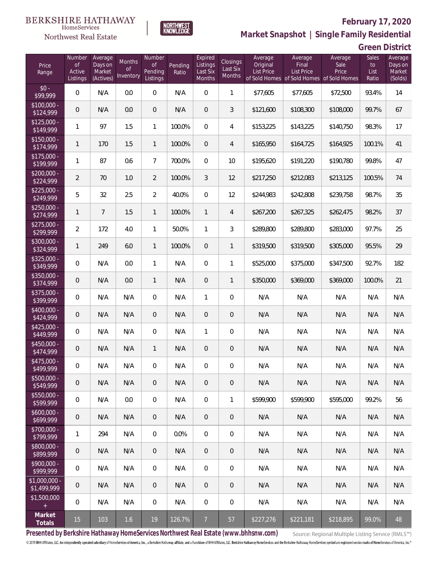

## **February 17, 2020**



| Price<br>Range                | Number<br>of<br>Active<br>Listings | Average<br>Days on<br>Market<br>(Actives) | Months<br>Οf<br>Inventory | Number<br>Οf<br>Pending<br>Listings | Pending<br>Ratio | Expired<br>Listings<br>Last Six<br>Months | Closings<br>Last Six<br>Months | Average<br>Original<br><b>List Price</b> | Average<br>Final<br>List Price<br>of Sold Homes of Sold Homes of Sold Homes | Average<br>Sale<br>Price | Sales<br>to<br>List<br>Ratio | Average<br>Days on<br>Market<br>(Solds) |
|-------------------------------|------------------------------------|-------------------------------------------|---------------------------|-------------------------------------|------------------|-------------------------------------------|--------------------------------|------------------------------------------|-----------------------------------------------------------------------------|--------------------------|------------------------------|-----------------------------------------|
| $$0 -$<br>\$99,999            | $\overline{0}$                     | N/A                                       | 0.0                       | $\overline{0}$                      | N/A              | $\overline{0}$                            | $\mathbf{1}$                   | \$77,605                                 | \$77,605                                                                    | \$72,500                 | 93.4%                        | 14                                      |
| $$100,000 -$<br>\$124,999     | $\overline{0}$                     | N/A                                       | 0.0                       | $\overline{0}$                      | N/A              | $\overline{0}$                            | 3                              | \$121,600                                | \$108,300                                                                   | \$108,000                | 99.7%                        | 67                                      |
| $$125,000 -$<br>\$149,999     | 1                                  | 97                                        | 1.5                       | $\mathbf{1}$                        | 100.0%           | $\overline{0}$                            | $\overline{4}$                 | \$153,225                                | \$143,225                                                                   | \$140,750                | 98.3%                        | 17                                      |
| $$150,000 -$<br>\$174,999     | 1                                  | 170                                       | 1.5                       | $\mathbf{1}$                        | 100.0%           | $\overline{0}$                            | $\overline{4}$                 | \$165,950                                | \$164,725                                                                   | \$164,925                | 100.1%                       | 41                                      |
| $$175,000 -$<br>\$199,999     | 1                                  | 87                                        | 0.6                       | $\overline{7}$                      | 700.0%           | $\overline{0}$                            | 10                             | \$195,620                                | \$191,220                                                                   | \$190,780                | 99.8%                        | 47                                      |
| $$200,000 -$<br>\$224,999     | $\overline{2}$                     | 70                                        | 1.0                       | $\overline{2}$                      | 100.0%           | $\mathfrak{Z}$                            | 12                             | \$217,250                                | \$212,083                                                                   | \$213,125                | 100.5%                       | 74                                      |
| $$225,000 -$<br>\$249,999     | 5                                  | 32                                        | 2.5                       | $\overline{2}$                      | 40.0%            | $\overline{0}$                            | 12                             | \$244,983                                | \$242,808                                                                   | \$239,758                | 98.7%                        | 35                                      |
| $$250,000 -$<br>\$274,999     | $\mathbf{1}$                       | $\overline{7}$                            | 1.5                       | $\mathbf{1}$                        | 100.0%           | $\mathbf{1}$                              | $\overline{4}$                 | \$267,200                                | \$267,325                                                                   | \$262,475                | 98.2%                        | 37                                      |
| $$275,000 -$<br>\$299,999     | $\overline{a}$                     | 172                                       | 4.0                       | $\mathbf{1}$                        | 50.0%            | $\mathbf{1}$                              | 3                              | \$289,800                                | \$289,800                                                                   | \$283,000                | 97.7%                        | 25                                      |
| $$300,000 -$<br>\$324,999     | $\mathbf{1}$                       | 249                                       | 6.0                       | $\mathbf{1}$                        | 100.0%           | $\overline{0}$                            | $\mathbf{1}$                   | \$319,500                                | \$319,500                                                                   | \$305,000                | 95.5%                        | 29                                      |
| $$325,000 -$<br>\$349,999     | 0                                  | N/A                                       | 0.0                       | $\mathbf{1}$                        | N/A              | $\overline{0}$                            | $\mathbf{1}$                   | \$525,000                                | \$375,000                                                                   | \$347,500                | 92.7%                        | 182                                     |
| \$350,000 -<br>\$374,999      | $\overline{0}$                     | N/A                                       | 0.0                       | $\mathbf{1}$                        | N/A              | $\overline{0}$                            | 1                              | \$350,000                                | \$369,000                                                                   | \$369,000                | 100.0%                       | 21                                      |
| $$375,000 -$<br>\$399,999     | 0                                  | N/A                                       | N/A                       | $\overline{0}$                      | N/A              | $\mathbf{1}$                              | $\overline{0}$                 | N/A                                      | N/A                                                                         | N/A                      | N/A                          | N/A                                     |
| $$400,000 -$<br>\$424,999     | $\overline{0}$                     | N/A                                       | N/A                       | $\overline{0}$                      | N/A              | $\overline{0}$                            | $\mathbf 0$                    | N/A                                      | N/A                                                                         | N/A                      | N/A                          | N/A                                     |
| $$425,000 -$<br>\$449,999     | $\overline{0}$                     | N/A                                       | N/A                       | $\overline{0}$                      | N/A              | $\mathbf{1}$                              | $\overline{0}$                 | N/A                                      | N/A                                                                         | N/A                      | N/A                          | N/A                                     |
| \$450,000 -<br>\$474,999      | $\overline{0}$                     | N/A                                       | N/A                       | $\mathbf{1}$                        | N/A              | $\overline{0}$                            | $\mathbf 0$                    | N/A                                      | N/A                                                                         | N/A                      | N/A                          | N/A                                     |
| \$475,000 -<br>\$499,999      | 0                                  | N/A                                       | N/A                       | $\overline{0}$                      | N/A              | $\overline{0}$                            | $\mathbf 0$                    | N/A                                      | N/A                                                                         | N/A                      | N/A                          | N/A                                     |
| $$500,000 -$<br>\$549,999     | 0                                  | N/A                                       | N/A                       | $\mathbf 0$                         | N/A              | $\mathbf 0$                               | $\mathbf 0$                    | N/A                                      | N/A                                                                         | N/A                      | N/A                          | N/A                                     |
| $$550,000 -$<br>\$599,999     | $\boldsymbol{0}$                   | N/A                                       | 0.0                       | $\mathbf 0$                         | N/A              | $\mathbf 0$                               | 1                              | \$599,900                                | \$599,900                                                                   | \$595,000                | 99.2%                        | 56                                      |
| $$600,000 -$<br>\$699,999     | 0                                  | N/A                                       | N/A                       | $\mathbf 0$                         | N/A              | $\overline{0}$                            | $\mathbf 0$                    | N/A                                      | N/A                                                                         | N/A                      | N/A                          | N/A                                     |
| \$700,000 -<br>\$799,999      | 1                                  | 294                                       | N/A                       | $\mathbf 0$                         | 0.0%             | $\mathbf 0$                               | $\mathbf 0$                    | N/A                                      | N/A                                                                         | N/A                      | N/A                          | N/A                                     |
| \$800,000 -<br>\$899,999      | 0                                  | N/A                                       | N/A                       | $\mathbf 0$                         | N/A              | $\overline{0}$                            | $\mathsf{O}\xspace$            | N/A                                      | N/A                                                                         | N/A                      | N/A                          | N/A                                     |
| \$900,000 -<br>\$999,999      | 0                                  | N/A                                       | N/A                       | $\mathbf 0$                         | N/A              | $\mathbf 0$                               | $\mathbf 0$                    | N/A                                      | N/A                                                                         | N/A                      | N/A                          | N/A                                     |
| $$1,000,000 -$<br>\$1,499,999 | 0                                  | N/A                                       | N/A                       | $\mathbf 0$                         | N/A              | $\boldsymbol{0}$                          | 0                              | N/A                                      | N/A                                                                         | N/A                      | N/A                          | N/A                                     |
| \$1,500,000<br>$+$ $\,$       | 0                                  | N/A                                       | N/A                       | $\mathbf 0$                         | N/A              | $\mathbf 0$                               | $\boldsymbol{0}$               | N/A                                      | N/A                                                                         | N/A                      | N/A                          | N/A                                     |
| Market<br>Totals              | $15\,$                             | 103                                       | 1.6                       | 19                                  | 126.7%           | $\overline{7}$                            | 57                             | \$227,276                                | \$221,181                                                                   | \$218,895                | 99.0%                        | 48                                      |

**NORTHWEST**<br>KNOWLEDGE

**Presented by Berkshire Hathaway HomeServices Northwest Real Estate (www.bhhsnw.com)**

Source: Regional Multiple Listing Service (RMLS™)